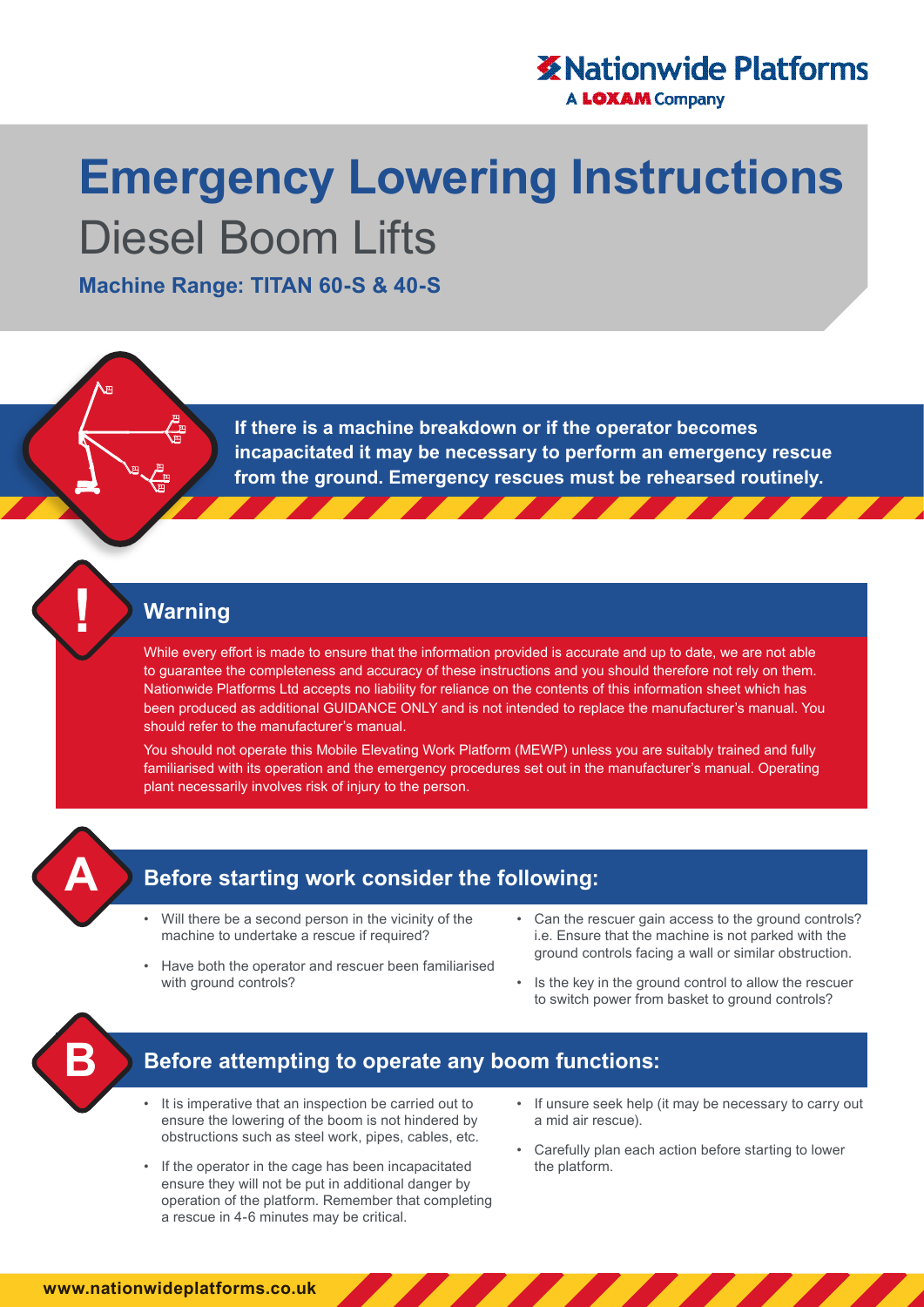# **X** Nationwide Platforms

**A LOXAM Company** 

# **Emergency Lowering Instructions**  Diesel Boom Lifts

**Machine Range: TITAN 60-S & 40-S**

**If there is a machine breakdown or if the operator becomes incapacitated it may be necessary to perform an emergency rescue from the ground. Emergency rescues must be rehearsed routinely.**

#### **Warning**

While every effort is made to ensure that the information provided is accurate and up to date, we are not able to guarantee the completeness and accuracy of these instructions and you should therefore not rely on them. Nationwide Platforms Ltd accepts no liability for reliance on the contents of this information sheet which has been produced as additional GUIDANCE ONLY and is not intended to replace the manufacturer's manual. You should refer to the manufacturer's manual.

You should not operate this Mobile Elevating Work Platform (MEWP) unless you are suitably trained and fully familiarised with its operation and the emergency procedures set out in the manufacturer's manual. Operating plant necessarily involves risk of injury to the person.



# **Before starting work consider the following:**

- Will there be a second person in the vicinity of the machine to undertake a rescue if required?
- Have both the operator and rescuer been familiarised with ground controls?
- Can the rescuer gain access to the ground controls? i.e. Ensure that the machine is not parked with the ground controls facing a wall or similar obstruction.
- Is the key in the ground control to allow the rescuer to switch power from basket to ground controls?



### **Before attempting to operate any boom functions:**

- It is imperative that an inspection be carried out to ensure the lowering of the boom is not hindered by obstructions such as steel work, pipes, cables, etc.
- If the operator in the cage has been incapacitated ensure they will not be put in additional danger by operation of the platform. Remember that completing a rescue in 4-6 minutes may be critical.
- If unsure seek help (it may be necessary to carry out a mid air rescue).
- Carefully plan each action before starting to lower the platform.